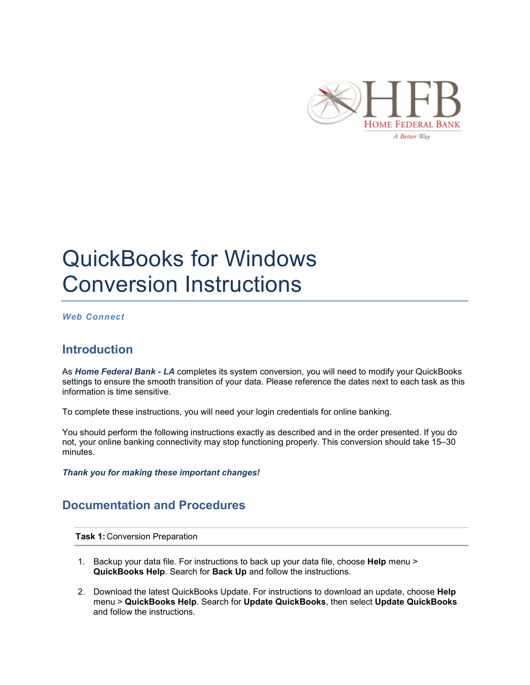

# QuickBooks for Windows Conversion Instructions

*Web Connect*

## **Introduction**

As *Home Federal Bank - LA* completes its system conversion, you will need to modify your QuickBooks settings to ensure the smooth transition of your data. Please reference the dates next to each task as this information is time sensitive.

To complete these instructions, you will need your login credentials for online banking.

You should perform the following instructions exactly as described and in the order presented. If you do not, your online banking connectivity may stop functioning properly. This conversion should take 15–30 minutes.

### *Thank you for making these important changes!*

## **Documentation and Procedures**

**Task 1:** Conversion Preparation

- 1. Backup your data file. For instructions to back up your data file, choose **Help** menu > **QuickBooks Help**. Search for **Back Up** and follow the instructions.
- 2. Download the latest QuickBooks Update. For instructions to download an update, choose **Help** menu > **QuickBooks Help**. Search for **Update QuickBooks**, then select **Update QuickBooks** and follow the instructions.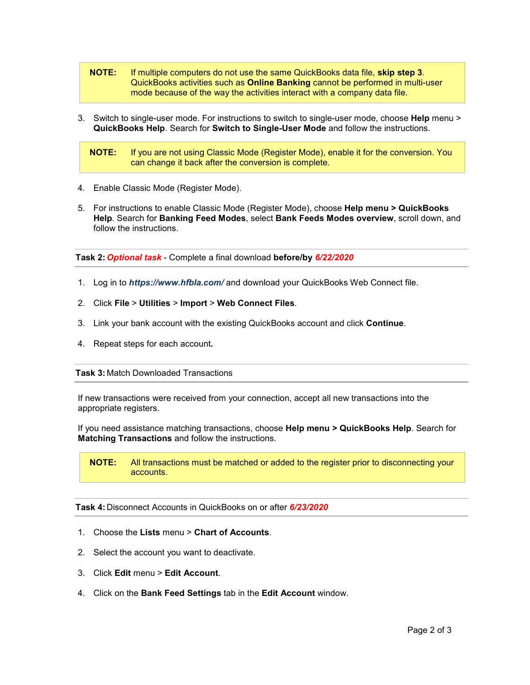- **NOTE:** If multiple computers do not use the same QuickBooks data file, **skip step 3**. QuickBooks activities such as **Online Banking** cannot be performed in multi-user mode because of the way the activities interact with a company data file.
- 3. Switch to single-user mode. For instructions to switch to single-user mode, choose **Help** menu > **QuickBooks Help**. Search for **Switch to Single-User Mode** and follow the instructions.

**NOTE:** If you are not using Classic Mode (Register Mode), enable it for the conversion. You can change it back after the conversion is complete.

- 4. Enable Classic Mode (Register Mode).
- 5. For instructions to enable Classic Mode (Register Mode), choose **Help menu > QuickBooks Help**. Search for **Banking Feed Modes**, select **Bank Feeds Modes overview**, scroll down, and follow the instructions.

**Task 2:** *Optional task* - Complete a final download **before/by** *6/22/2020*

- 1. Log in to *https://www.hfbla.com/* and download your QuickBooks Web Connect file.
- 2. Click **File** > **Utilities** > **Import** > **Web Connect Files**.
- 3. Link your bank account with the existing QuickBooks account and click **Continue**.
- 4. Repeat steps for each account*.*

#### **Task 3:** Match Downloaded Transactions

If new transactions were received from your connection, accept all new transactions into the appropriate registers.

If you need assistance matching transactions, choose **Help menu > QuickBooks Help**. Search for **Matching Transactions** and follow the instructions.

**NOTE:** All transactions must be matched or added to the register prior to disconnecting your accounts.

**Task 4:** Disconnect Accounts in QuickBooks on or after *6/23/2020*

- 1. Choose the **Lists** menu > **Chart of Accounts**.
- 2. Select the account you want to deactivate.
- 3. Click **Edit** menu > **Edit Account**.
- 4. Click on the **Bank Feed Settings** tab in the **Edit Account** window.